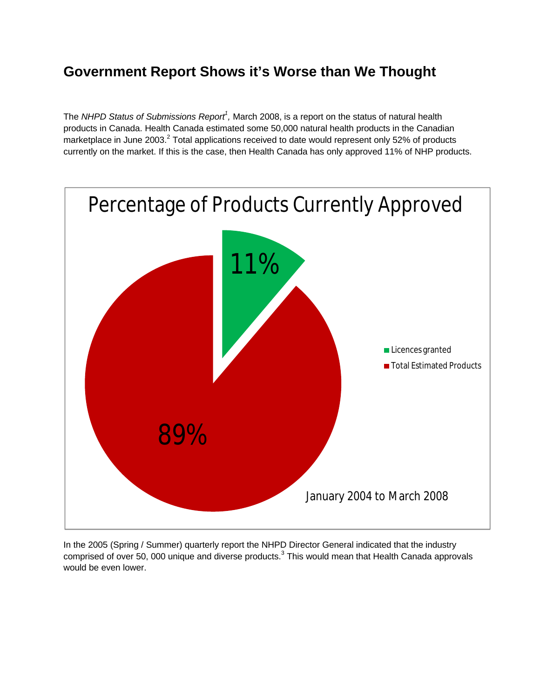## **Government Report Shows it's Worse than We Thought**

The *NHPD Status of Submissions Report<sup>1</sup> ,* March 2008, is a report on the status of natural health products in Canada. Health Canada estimated some 50,000 natural health products in the Canadian marketplace in June 2003.<sup>2</sup> Total applications received to date would represent only 52% of products currently on the market. If this is the case, then Health Canada has only approved 11% of NHP products.



In the 2005 (Spring / Summer) quarterly report the NHPD Director General indicated that the industry comprised of over 50, 000 unique and diverse products.<sup>3</sup> This would mean that Health Canada approvals would be even lower.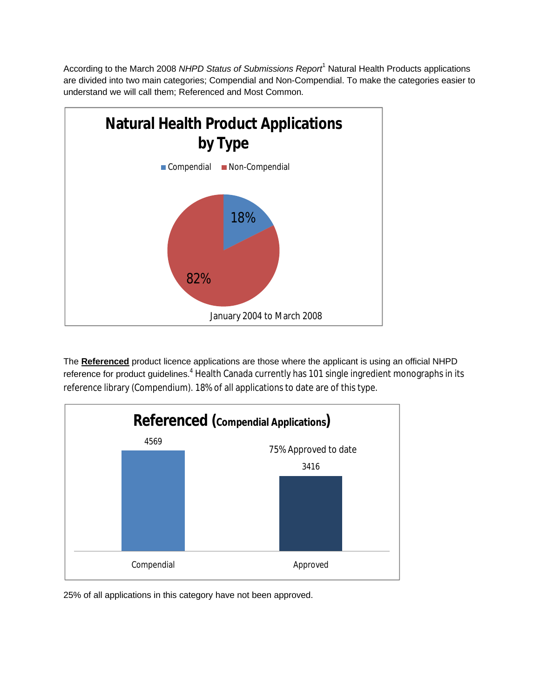According to the March 2008 *NHPD Status of Submissions Report*<sup>1</sup> Natural Health Products applications are divided into two main categories; Compendial and Non-Compendial. To make the categories easier to understand we will call them; Referenced and Most Common.



The **Referenced** product licence applications are those where the applicant is using an official NHPD reference for product guidelines.<sup>4</sup> Health Canada currently has 101 single ingredient monographs in its reference library (Compendium). 18% of all applications to date are of this type.



25% of all applications in this category have not been approved.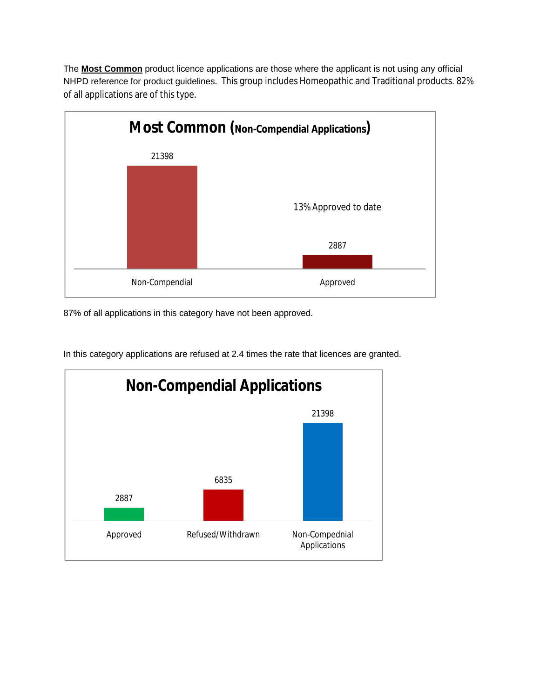The **Most Common** product licence applications are those where the applicant is not using any official NHPD reference for product guidelines. This group includes Homeopathic and Traditional products. 82% of all applications are of this type.



87% of all applications in this category have not been approved.



In this category applications are refused at 2.4 times the rate that licences are granted.